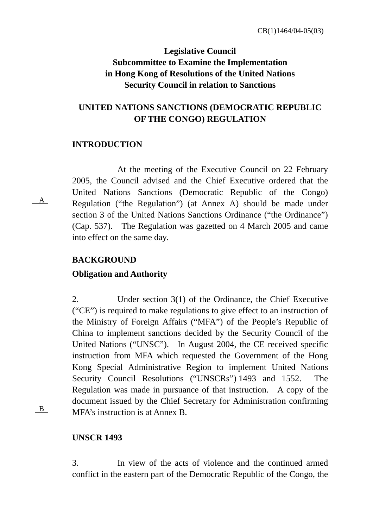# **Legislative Council Subcommittee to Examine the Implementation in Hong Kong of Resolutions of the United Nations Security Council in relation to Sanctions**

# **UNITED NATIONS SANCTIONS (DEMOCRATIC REPUBLIC OF THE CONGO) REGULATION**

## **INTRODUCTION**

At the meeting of the Executive Council on 22 February 2005, the Council advised and the Chief Executive ordered that the United Nations Sanctions (Democratic Republic of the Congo) Regulation ("the Regulation") (at Annex A) should be made under section 3 of the United Nations Sanctions Ordinance ("the Ordinance") (Cap. 537). The Regulation was gazetted on 4 March 2005 and came into effect on the same day.

## **BACKGROUND**

## **Obligation and Authority**

2. Under section 3(1) of the Ordinance, the Chief Executive ("CE") is required to make regulations to give effect to an instruction of the Ministry of Foreign Affairs ("MFA") of the People's Republic of China to implement sanctions decided by the Security Council of the United Nations ("UNSC"). In August 2004, the CE received specific instruction from MFA which requested the Government of the Hong Kong Special Administrative Region to implement United Nations Security Council Resolutions ("UNSCRs") 1493 and 1552. The Regulation was made in pursuance of that instruction. A copy of the document issued by the Chief Secretary for Administration confirming MFA's instruction is at Annex B.

B

A

## **UNSCR 1493**

3. In view of the acts of violence and the continued armed conflict in the eastern part of the Democratic Republic of the Congo, the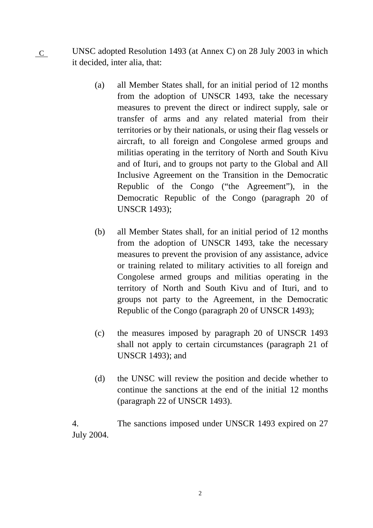UNSC adopted Resolution 1493 (at Annex C) on 28 July 2003 in which it decided, inter alia, that:  $\overline{C}$ 

- (a) all Member States shall, for an initial period of 12 months from the adoption of UNSCR 1493, take the necessary measures to prevent the direct or indirect supply, sale or transfer of arms and any related material from their territories or by their nationals, or using their flag vessels or aircraft, to all foreign and Congolese armed groups and militias operating in the territory of North and South Kivu and of Ituri, and to groups not party to the Global and All Inclusive Agreement on the Transition in the Democratic Republic of the Congo ("the Agreement"), in the Democratic Republic of the Congo (paragraph 20 of UNSCR 1493);
- (b) all Member States shall, for an initial period of 12 months from the adoption of UNSCR 1493, take the necessary measures to prevent the provision of any assistance, advice or training related to military activities to all foreign and Congolese armed groups and militias operating in the territory of North and South Kivu and of Ituri, and to groups not party to the Agreement, in the Democratic Republic of the Congo (paragraph 20 of UNSCR 1493);
- (c) the measures imposed by paragraph 20 of UNSCR 1493 shall not apply to certain circumstances (paragraph 21 of UNSCR 1493); and
- (d) the UNSC will review the position and decide whether to continue the sanctions at the end of the initial 12 months (paragraph 22 of UNSCR 1493).

4. The sanctions imposed under UNSCR 1493 expired on 27 July 2004.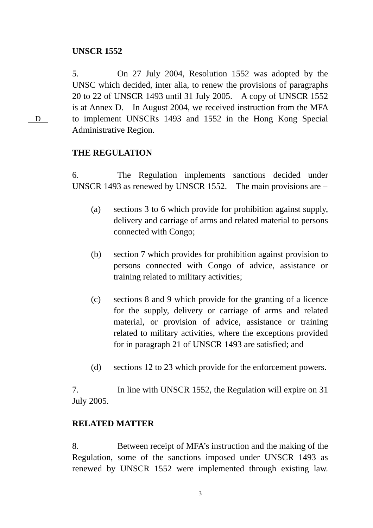## **UNSCR 1552**

5. On 27 July 2004, Resolution 1552 was adopted by the UNSC which decided, inter alia, to renew the provisions of paragraphs 20 to 22 of UNSCR 1493 until 31 July 2005. A copy of UNSCR 1552 is at Annex D. In August 2004, we received instruction from the MFA to implement UNSCRs 1493 and 1552 in the Hong Kong Special Administrative Region.

## **THE REGULATION**

6. The Regulation implements sanctions decided under UNSCR 1493 as renewed by UNSCR 1552. The main provisions are –

- (a) sections 3 to 6 which provide for prohibition against supply, delivery and carriage of arms and related material to persons connected with Congo;
- (b) section 7 which provides for prohibition against provision to persons connected with Congo of advice, assistance or training related to military activities;
- (c) sections 8 and 9 which provide for the granting of a licence for the supply, delivery or carriage of arms and related material, or provision of advice, assistance or training related to military activities, where the exceptions provided for in paragraph 21 of UNSCR 1493 are satisfied; and
- (d) sections 12 to 23 which provide for the enforcement powers.

7. In line with UNSCR 1552, the Regulation will expire on 31 July 2005.

## **RELATED MATTER**

8. Between receipt of MFA's instruction and the making of the Regulation, some of the sanctions imposed under UNSCR 1493 as renewed by UNSCR 1552 were implemented through existing law.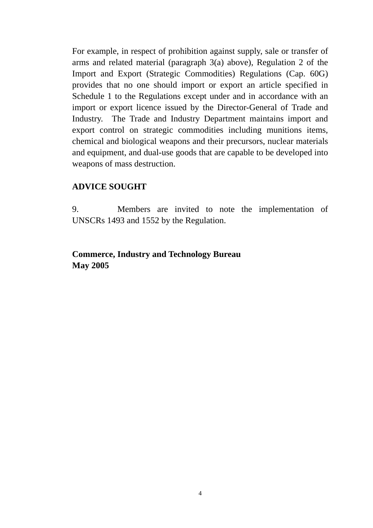For example, in respect of prohibition against supply, sale or transfer of arms and related material (paragraph 3(a) above), Regulation 2 of the Import and Export (Strategic Commodities) Regulations (Cap. 60G) provides that no one should import or export an article specified in Schedule 1 to the Regulations except under and in accordance with an import or export licence issued by the Director-General of Trade and Industry. The Trade and Industry Department maintains import and export control on strategic commodities including munitions items, chemical and biological weapons and their precursors, nuclear materials and equipment, and dual-use goods that are capable to be developed into weapons of mass destruction.

## **ADVICE SOUGHT**

9. Members are invited to note the implementation of UNSCRs 1493 and 1552 by the Regulation.

## **Commerce, Industry and Technology Bureau May 2005**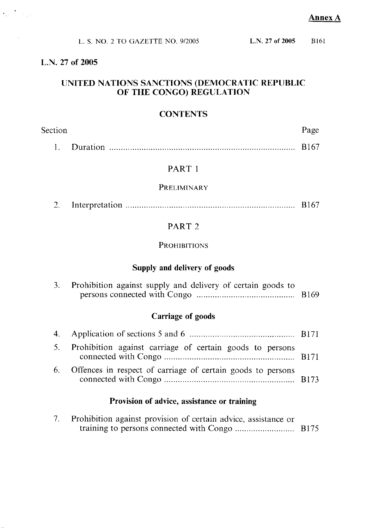|            | L. S. NO. 2 TO GAZETTE NO. 9/2005 | L.N. 27 of 2005 | - RI61 |
|------------|-----------------------------------|-----------------|--------|
| 27 of 2005 |                                   |                 |        |

# UNITED NATIONS SANCTIONS (DEMOCRATIC REPUBLIC<br>OF THE CONGO) REGULATION

 $\label{eq:2} \frac{1}{\sqrt{2}}\int_{\mathbb{R}^3} \frac{1}{\sqrt{2}}\left(\frac{1}{\sqrt{2}}\right)^2 \frac{1}{\sqrt{2}}\left(\frac{1}{\sqrt{2}}\right)^2 \frac{1}{\sqrt{2}}\left(\frac{1}{\sqrt{2}}\right)^2.$ 

 $L.N.$ 

# **CONTENTS**

| Section |            | Page |       |
|---------|------------|------|-------|
|         | 1 Duration |      | -RI67 |

## PART 1

# PRELIMINARY

| بالشد |  |  |
|-------|--|--|
|       |  |  |

## PART<sub>2</sub>

## **PROHIBITIONS**

# Supply and delivery of goods

| 3. Prohibition against supply and delivery of certain goods to |  |
|----------------------------------------------------------------|--|
|                                                                |  |

# **Carriage of goods**

| 5. Prohibition against carriage of certain goods to persons    |  |
|----------------------------------------------------------------|--|
| 6. Offences in respect of carriage of certain goods to persons |  |

## Provision of advice, assistance or training

| Prohibition against provision of certain advice, assistance or |  |
|----------------------------------------------------------------|--|
|                                                                |  |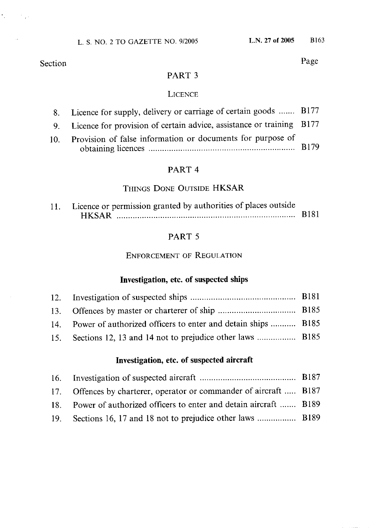$\mathcal{L}_{\text{max}}$  , where  $\mathcal{L}_{\text{max}}$ 

Page

## PART<sub>3</sub>

## **LICENCE**

| 8. Licence for supply, delivery or carriage of certain goods  B177      |  |
|-------------------------------------------------------------------------|--|
| 9. Licence for provision of certain advice, assistance or training B177 |  |
| 10. Provision of false information or documents for purpose of          |  |

| $\mathbf{v}$ . The main of the mornimum of december $\mathbf{v}$ and $\mathbf{v}$ |  |  |
|-----------------------------------------------------------------------------------|--|--|
|                                                                                   |  |  |

## PART 4

## THINGS DONE OUTSIDE HKSAR

| 11. Licence or permission granted by authorities of places outside |              |
|--------------------------------------------------------------------|--------------|
| <b>HKSAR</b>                                                       | <b>B</b> 181 |

# PART 5

## **ENFORCEMENT OF REGULATION**

# Investigation, etc. of suspected ships

| 14. Power of authorized officers to enter and detain ships  B185 |  |
|------------------------------------------------------------------|--|
| 15. Sections 12, 13 and 14 not to prejudice other laws  B185     |  |

## Investigation, etc. of suspected aircraft

| 17. Offences by charterer, operator or commander of aircraft  B187  |  |
|---------------------------------------------------------------------|--|
| 18. Power of authorized officers to enter and detain aircraft  B189 |  |
|                                                                     |  |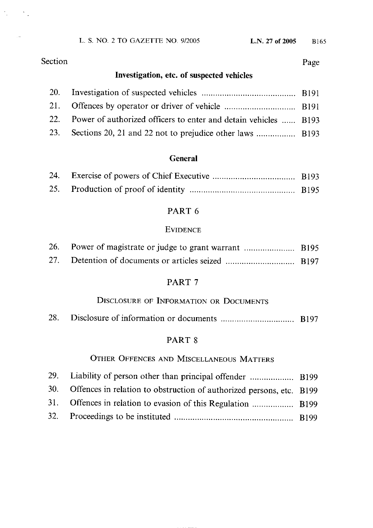L. S. NO. 2 TO GAZETTE NO. 9/2005

# Section

 $\mathcal{H}_{\rm{max}}$  , where  $\mathcal{H}_{\rm{max}}$ 

Page

# Investigation, etc. of suspected vehicles

| 22. Power of authorized officers to enter and detain vehicles  B193 |  |
|---------------------------------------------------------------------|--|
|                                                                     |  |

## **General**

## PART 6

## **EVIDENCE**

## PART<sub>7</sub>

# DISCLOSURE OF INFORMATION OR DOCUMENTS

|--|--|

## PART 8

## OTHER OFFENCES AND MISCELLANEOUS MATTERS

| 30. Offences in relation to obstruction of authorized persons, etc. B199 |  |
|--------------------------------------------------------------------------|--|
|                                                                          |  |
|                                                                          |  |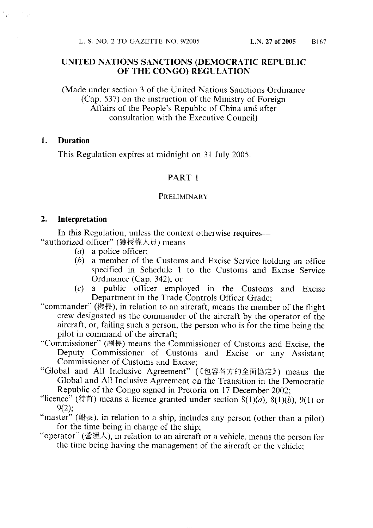## UNITED NATIONS SANCTIONS (DEMOCRATIC REPUBLIC OF THE CONGO) REGULATION

(Made under section 3 of the United Nations Sanctions Ordinance) (Cap. 537) on the instruction of the Ministry of Foreign Affairs of the People's Republic of China and after consultation with the Executive Council)

#### 1. **Duration**

This Regulation expires at midnight on 31 July 2005.

## PART 1

#### PRELIMINARY

#### $2.$ Interpretation

In this Regulation, unless the context otherwise requires— "authorized officer" (獲授權人員) means-

- $(a)$  a police officer:
- $(b)$  a member of the Customs and Excise Service holding an office specified in Schedule 1 to the Customs and Excise Service Ordinance (Cap. 342); or
- $(c)$  a public officer employed in the Customs and Excise Department in the Trade Controls Officer Grade;
- "commander" (機長), in relation to an aircraft, means the member of the flight crew designated as the commander of the aircraft by the operator of the aircraft, or, failing such a person, the person who is for the time being the pilot in command of the aircraft;
- "Commissioner" (關長) means the Commissioner of Customs and Excise, the Deputy Commissioner of Customs and Excise or any Assistant Commissioner of Customs and Excise;
- "Global and All Inclusive Agreement" (《包容各方的全面協定》) means the Global and All Inclusive Agreement on the Transition in the Democratic Republic of the Congo signed in Pretoria on 17 December 2002;
- "licence" (特許) means a licence granted under section 8(1)(a), 8(1)(b), 9(1) or  $9(2)$ ;
- "master" (船長), in relation to a ship, includes any person (other than a pilot) for the time being in charge of the ship;
- "operator" (營運人), in relation to an aircraft or a vehicle, means the person for the time being having the management of the aircraft or the vehicle;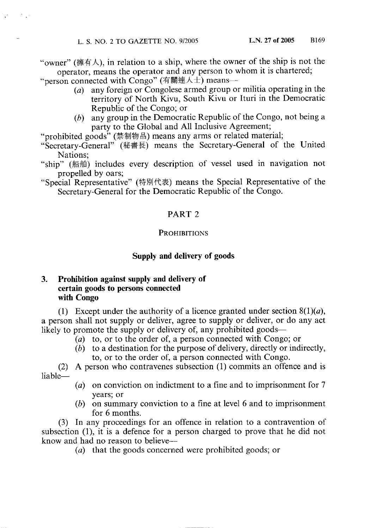"owner" (擁有人), in relation to a ship, where the owner of the ship is not the operator, means the operator and any person to whom it is chartered;

"person connected with Congo" (有關連人士) means—

- any foreign or Congolese armed group or militia operating in the  $(a)$ territory of North Kivu, South Kivu or Ituri in the Democratic Republic of the Congo; or
- (b) any group in the Democratic Republic of the Congo, not being a party to the Global and All Inclusive Agreement;

"prohibited goods" (禁制物品) means any arms or related material;

- "Secretary-General" (秘書長) means the Secretary-General of the United Nations:
- "ship" (船舶) includes every description of vessel used in navigation not propelled by oars;

"Special Representative" (特別代表) means the Special Representative of the Secretary-General for the Democratic Republic of the Congo.

## PART<sub>2</sub>

#### **PROHIBITIONS**

## Supply and delivery of goods

#### Prohibition against supply and delivery of 3. certain goods to persons connected with Congo

(1) Except under the authority of a licence granted under section  $8(1)(a)$ , a person shall not supply or deliver, agree to supply or deliver, or do any act likely to promote the supply or delivery of, any prohibited goods—

- (a) to, or to the order of, a person connected with Congo; or
- $(b)$  to a destination for the purpose of delivery, directly or indirectly, to, or to the order of, a person connected with Congo.

A person who contravenes subsection (1) commits an offence and is  $(2)$ liable-

- (a) on conviction on indictment to a fine and to imprisonment for  $7$ years; or
- $(b)$  on summary conviction to a fine at level 6 and to imprisonment for 6 months.

(3) In any proceedings for an offence in relation to a contravention of subsection (1), it is a defence for a person charged to prove that he did not know and had no reason to believe—

(a) that the goods concerned were prohibited goods; or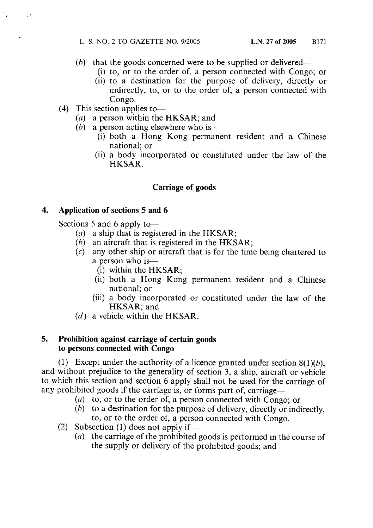- $(b)$  that the goods concerned were to be supplied or delivered—
	- (i) to, or to the order of, a person connected with Congo; or
	- (ii) to a destination for the purpose of delivery, directly or indirectly, to, or to the order of, a person connected with Congo.
- $(4)$  This section applies to-
	- $(a)$  a person within the HKSAR; and
	- (b) a person acting elsewhere who is—
		- (i) both a Hong Kong permanent resident and a Chinese national; or
		- (ii) a body incorporated or constituted under the law of the HKSAR.

## **Carriage of goods**

#### $\boldsymbol{4}$ . Application of sections 5 and 6

Sections 5 and 6 apply to-

- (a) a ship that is registered in the HKSAR;
- $(b)$  an aircraft that is registered in the HKSAR;
- $(c)$  any other ship or aircraft that is for the time being chartered to a person who is-
	- (i) within the HKSAR;
	- (ii) both a Hong Kong permanent resident and a Chinese national; or
	- (iii) a body incorporated or constituted under the law of the HKSAR: and
- $(d)$  a vehicle within the HKSAR.

#### 5. Prohibition against carriage of certain goods to persons connected with Congo

(1) Except under the authority of a licence granted under section  $8(1)(b)$ , and without prejudice to the generality of section 3, a ship, aircraft or vehicle to which this section and section 6 apply shall not be used for the carriage of any prohibited goods if the carriage is, or forms part of, carriage—

- (a) to, or to the order of, a person connected with Congo; or
- $(b)$  to a destination for the purpose of delivery, directly or indirectly. to, or to the order of, a person connected with Congo.
- (2) Subsection (1) does not apply if—
	- (a) the carriage of the prohibited goods is performed in the course of the supply or delivery of the prohibited goods; and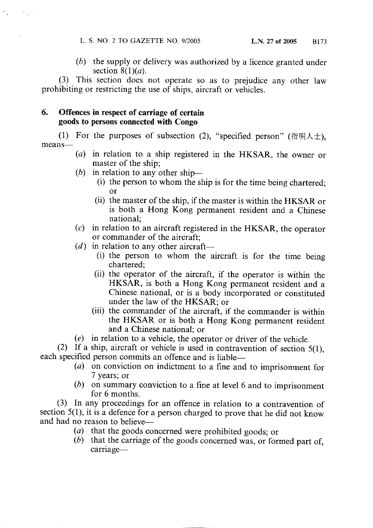$(b)$  the supply or delivery was authorized by a licence granted under section  $8(1)(a)$ .

(3) This section does not operate so as to prejudice any other law prohibiting or restricting the use of ships, aircraft or vehicles.

#### 6. Offences in respect of carriage of certain goods to persons connected with Congo

(1) For the purposes of subsection (2), "specified person" (指明人士). means-

- (a) in relation to a ship registered in the HKSAR, the owner or master of the ship;
- (b) in relation to any other ship—
	- (i) the person to whom the ship is for the time being chartered;
	- (ii) the master of the ship, if the master is within the HKSAR or is both a Hong Kong permanent resident and a Chinese national;
- $(c)$  in relation to an aircraft registered in the HKSAR, the operator or commander of the aircraft:
- $(d)$  in relation to any other aircraft—
	- (i) the person to whom the aircraft is for the time being chartered:
	- (ii) the operator of the aircraft, if the operator is within the HKSAR, is both a Hong Kong permanent resident and a Chinese national, or is a body incorporated or constituted under the law of the HKSAR; or
	- (iii) the commander of the aircraft, if the commander is within the HKSAR or is both a Hong Kong permanent resident and a Chinese national; or
- $(e)$  in relation to a vehicle, the operator or driver of the vehicle.

(2) If a ship, aircraft or vehicle is used in contravention of section  $5(1)$ , each specified person commits an offence and is liable-

- (a) on conviction on indictment to a fine and to imprisonment for 7 years; or
- ( $b$ ) on summary conviction to a fine at level 6 and to imprisonment for 6 months.

(3) In any proceedings for an offence in relation to a contravention of section  $5(1)$ , it is a defence for a person charged to prove that he did not know and had no reason to believe—

- $(a)$  that the goods concerned were prohibited goods; or
- $(b)$  that the carriage of the goods concerned was, or formed part of, carriage-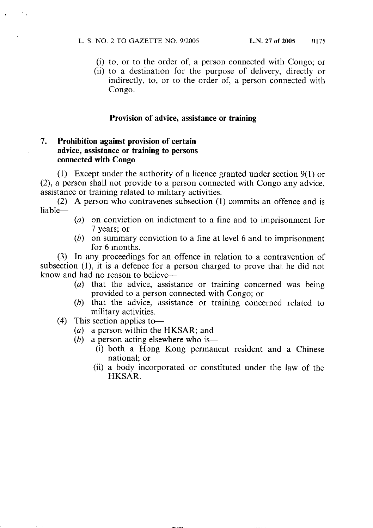- (i) to, or to the order of, a person connected with Congo; or
- (ii) to a destination for the purpose of delivery, directly or indirectly, to, or to the order of, a person connected with Congo.

#### Provision of advice, assistance or training

#### $7.$ Prohibition against provision of certain advice, assistance or training to persons connected with Congo

(1) Except under the authority of a licence granted under section  $9(1)$  or (2), a person shall not provide to a person connected with Congo any advice, assistance or training related to military activities.

(2) A person who contravenes subsection (1) commits an offence and is liable-

- (a) on conviction on indictment to a fine and to imprisonment for 7 years; or
- $(b)$  on summary conviction to a fine at level 6 and to imprisonment for 6 months.

(3) In any proceedings for an offence in relation to a contravention of subsection (1), it is a defence for a person charged to prove that he did not know and had no reason to believe-

- $(a)$  that the advice, assistance or training concerned was being provided to a person connected with Congo; or
- (b) that the advice, assistance or training concerned related to military activities.
- This section applies to- $(4)$ 
	- (a) a person within the HKSAR; and
	- (b) a person acting elsewhere who is—
		- (i) both a Hong Kong permanent resident and a Chinese national; or
		- (ii) a body incorporated or constituted under the law of the HKSAR.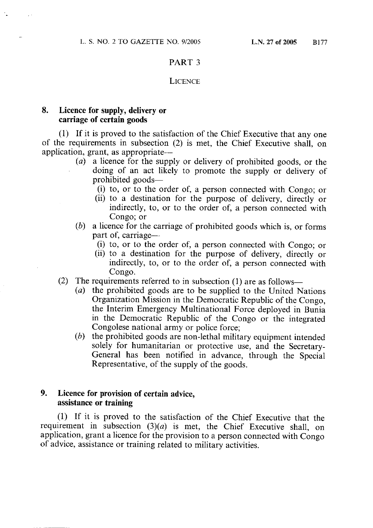#### PART<sub>3</sub>

#### **LICENCE**

#### 8. Licence for supply, delivery or carriage of certain goods

(1) If it is proved to the satisfaction of the Chief Executive that any one of the requirements in subsection (2) is met, the Chief Executive shall, on application, grant, as appropriate—

- $(a)$ a licence for the supply or delivery of prohibited goods, or the doing of an act likely to promote the supply or delivery of prohibited goods—
	- (i) to, or to the order of, a person connected with Congo; or
	- (ii) to a destination for the purpose of delivery, directly or indirectly, to, or to the order of, a person connected with Congo: or
- a licence for the carriage of prohibited goods which is, or forms  $(b)$ part of, carriage—
	- (i) to, or to the order of, a person connected with Congo; or
	- (ii) to a destination for the purpose of delivery, directly or indirectly, to, or to the order of, a person connected with Congo.
- (2) The requirements referred to in subsection (1) are as follows—
	- (a) the prohibited goods are to be supplied to the United Nations Organization Mission in the Democratic Republic of the Congo. the Interim Emergency Multinational Force deployed in Bunia in the Democratic Republic of the Congo or the integrated Congolese national army or police force;
	- $(b)$  the prohibited goods are non-lethal military equipment intended solely for humanitarian or protective use, and the Secretary-General has been notified in advance, through the Special Representative, of the supply of the goods.

#### 9. Licence for provision of certain advice, assistance or training

(1) If it is proved to the satisfaction of the Chief Executive that the requirement in subsection  $(3)(a)$  is met, the Chief Executive shall, on application, grant a licence for the provision to a person connected with Congo of advice, assistance or training related to military activities.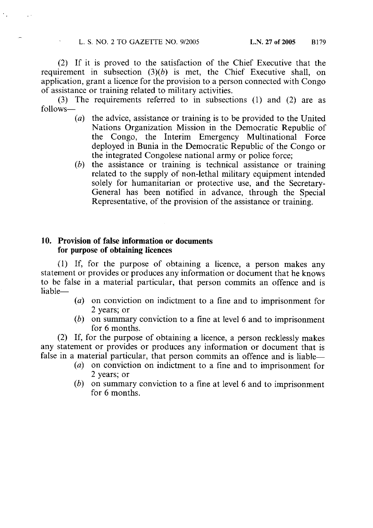(2) If it is proved to the satisfaction of the Chief Executive that the requirement in subsection  $(3)(b)$  is met, the Chief Executive shall, on application, grant a licence for the provision to a person connected with Congo of assistance or training related to military activities.

(3) The requirements referred to in subsections (1) and (2) are as follows-

- (a) the advice, assistance or training is to be provided to the United Nations Organization Mission in the Democratic Republic of the Congo, the Interim Emergency Multinational Force deployed in Bunia in the Democratic Republic of the Congo or the integrated Congolese national army or police force;
- $(b)$  the assistance or training is technical assistance or training related to the supply of non-lethal military equipment intended solely for humanitarian or protective use, and the Secretary-General has been notified in advance, through the Special Representative, of the provision of the assistance or training.

### 10. Provision of false information or documents for purpose of obtaining licences

(1) If, for the purpose of obtaining a licence, a person makes any statement or provides or produces any information or document that he knows to be false in a material particular, that person commits an offence and is liable-

- (a) on conviction on indictment to a fine and to imprisonment for 2 years; or
- $(b)$  on summary conviction to a fine at level 6 and to imprisonment for 6 months.

(2) If, for the purpose of obtaining a licence, a person recklessly makes any statement or provides or produces any information or document that is false in a material particular, that person commits an offence and is liable—

- $(a)$  on conviction on indictment to a fine and to imprisonment for 2 years; or
- $(b)$  on summary conviction to a fine at level 6 and to imprisonment for 6 months.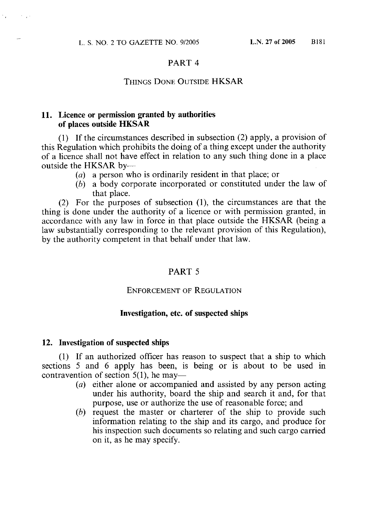$\sim 10^4$ 

 $\mathcal{F}_{\text{max}}$ 

#### PART<sub>4</sub>

#### **THINGS DONE OUTSIDE HKSAR**

## 11. Licence or permission granted by authorities of places outside HKSAR

(1) If the circumstances described in subsection (2) apply, a provision of this Regulation which prohibits the doing of a thing except under the authority of a licence shall not have effect in relation to any such thing done in a place outside the HKSAR by-

- (a) a person who is ordinarily resident in that place; or
- $(b)$  a body corporate incorporated or constituted under the law of that place.

(2) For the purposes of subsection (1), the circumstances are that the thing is done under the authority of a licence or with permission granted, in accordance with any law in force in that place outside the HKSAR (being a law substantially corresponding to the relevant provision of this Regulation). by the authority competent in that behalf under that law.

#### PART 5

#### **ENFORCEMENT OF REGULATION**

#### Investigation, etc. of suspected ships

#### 12. Investigation of suspected ships

(1) If an authorized officer has reason to suspect that a ship to which sections 5 and 6 apply has been, is being or is about to be used in contravention of section  $5(1)$ , he may—

- (a) either alone or accompanied and assisted by any person acting under his authority, board the ship and search it and, for that purpose, use or authorize the use of reasonable force; and
- (b) request the master or charterer of the ship to provide such information relating to the ship and its cargo, and produce for his inspection such documents so relating and such cargo carried on it, as he may specify.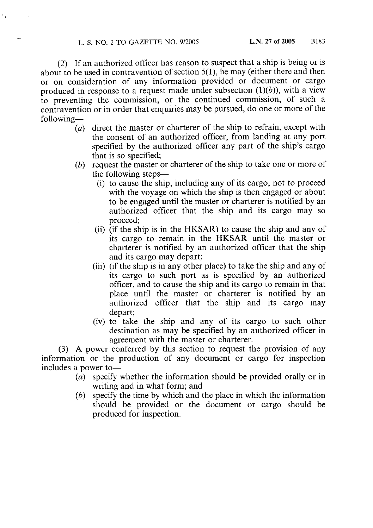(2) If an authorized officer has reason to suspect that a ship is being or is about to be used in contravention of section  $5(1)$ , he may (either there and then or on consideration of any information provided or document or cargo produced in response to a request made under subsection  $(1)(b)$ ), with a view to preventing the commission, or the continued commission, of such a contravention or in order that enquiries may be pursued, do one or more of the following-

- (a) direct the master or charterer of the ship to refrain, except with the consent of an authorized officer, from landing at any port specified by the authorized officer any part of the ship's cargo that is so specified;
- $(b)$  request the master or charterer of the ship to take one or more of the following steps—
	- (i) to cause the ship, including any of its cargo, not to proceed with the voyage on which the ship is then engaged or about to be engaged until the master or charterer is notified by an authorized officer that the ship and its cargo may so proceed:
	- (ii) (if the ship is in the HKSAR) to cause the ship and any of its cargo to remain in the HKSAR until the master or charterer is notified by an authorized officer that the ship and its cargo may depart;
	- (iii) (if the ship is in any other place) to take the ship and any of its cargo to such port as is specified by an authorized officer, and to cause the ship and its cargo to remain in that place until the master or charterer is notified by an authorized officer that the ship and its cargo may depart;
	- (iv) to take the ship and any of its cargo to such other destination as may be specified by an authorized officer in agreement with the master or charterer.

(3) A power conferred by this section to request the provision of any information or the production of any document or cargo for inspection includes a power to-

- (a) specify whether the information should be provided orally or in writing and in what form; and
- specify the time by which and the place in which the information (b) should be provided or the document or cargo should be produced for inspection.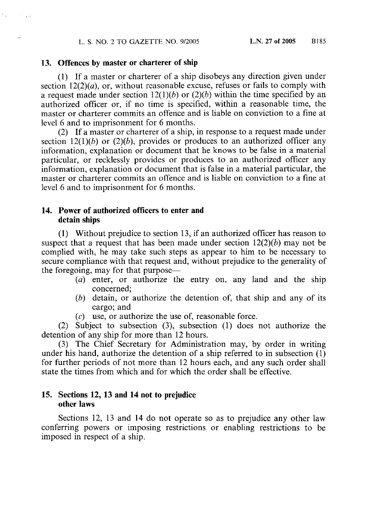#### 13. Offences by master or charterer of ship

 $\epsilon_{\alpha}$ 

 $\mathcal{F}_{\rm{max}}$ 

(1) If a master or charterer of a ship disobeys any direction given under section  $12(2)(a)$ , or, without reasonable excuse, refuses or fails to comply with a request made under section  $12(1)(b)$  or  $(2)(b)$  within the time specified by an authorized officer or, if no time is specified, within a reasonable time, the master or charterer commits an offence and is liable on conviction to a fine at level 6 and to imprisonment for 6 months.

(2) If a master or charterer of a ship, in response to a request made under section 12(1)(b) or (2)(b), provides or produces to an authorized officer any information, explanation or document that he knows to be false in a material particular, or recklessly provides or produces to an authorized officer any information, explanation or document that is false in a material particular, the master or charterer commits an offence and is liable on conviction to a fine at level 6 and to imprisonment for 6 months.

## 14. Power of authorized officers to enter and detain ships

(1) Without prejudice to section 13, if an authorized officer has reason to suspect that a request that has been made under section  $12(2)(b)$  may not be complied with, he may take such steps as appear to him to be necessary to secure compliance with that request and, without prejudice to the generality of the foregoing, may for that purpose—

- (a) enter, or authorize the entry on, any land and the ship concerned:
- (b) detain, or authorize the detention of, that ship and any of its cargo: and
- $(c)$  use, or authorize the use of, reasonable force.

(2) Subject to subsection (3), subsection (1) does not authorize the detention of any ship for more than 12 hours.

(3) The Chief Secretary for Administration may, by order in writing under his hand, authorize the detention of a ship referred to in subsection (1) for further periods of not more than 12 hours each, and any such order shall state the times from which and for which the order shall be effective.

## 15. Sections 12, 13 and 14 not to prejudice other laws

Sections 12, 13 and 14 do not operate so as to prejudice any other law conferring powers or imposing restrictions or enabling restrictions to be imposed in respect of a ship.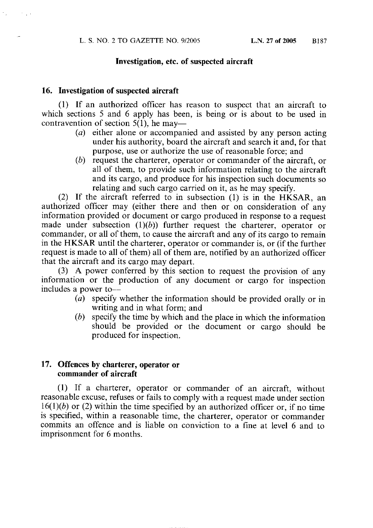#### Investigation, etc. of suspected aircraft

#### 16. Investigation of suspected aircraft

 $\sim 10^{11}$ 

(1) If an authorized officer has reason to suspect that an aircraft to which sections 5 and 6 apply has been, is being or is about to be used in contravention of section  $5(1)$ , he may—

- (a) either alone or accompanied and assisted by any person acting under his authority, board the aircraft and search it and, for that purpose, use or authorize the use of reasonable force; and
- (b) request the charterer, operator or commander of the aircraft, or all of them, to provide such information relating to the aircraft and its cargo, and produce for his inspection such documents so relating and such cargo carried on it, as he may specify.

(2) If the aircraft referred to in subsection (1) is in the HKSAR, an authorized officer may (either there and then or on consideration of any information provided or document or cargo produced in response to a request made under subsection  $(1)(b)$  further request the charterer, operator or commander, or all of them, to cause the aircraft and any of its cargo to remain in the HKSAR until the charterer, operator or commander is, or (if the further request is made to all of them) all of them are, notified by an authorized officer that the aircraft and its cargo may depart.

(3) A power conferred by this section to request the provision of any information or the production of any document or cargo for inspection includes a power to-

- $\overrightarrow{a}$  specify whether the information should be provided orally or in writing and in what form; and
- $(b)$  specify the time by which and the place in which the information should be provided or the document or cargo should be produced for inspection.

#### 17. Offences by charterer, operator or commander of aircraft

(1) If a charterer, operator or commander of an aircraft, without reasonable excuse, refuses or fails to comply with a request made under section  $16(1)(b)$  or (2) within the time specified by an authorized officer or, if no time is specified, within a reasonable time, the charterer, operator or commander commits an offence and is liable on conviction to a fine at level 6 and to imprisonment for 6 months.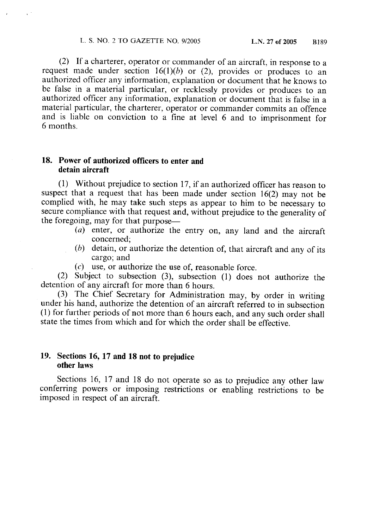(2) If a charterer, operator or commander of an aircraft, in response to a request made under section  $16(1)(b)$  or (2), provides or produces to an authorized officer any information, explanation or document that he knows to be false in a material particular, or recklessly provides or produces to an authorized officer any information, explanation or document that is false in a material particular, the charterer, operator or commander commits an offence and is liable on conviction to a fine at level 6 and to imprisonment for 6 months.

## 18. Power of authorized officers to enter and detain aircraft

(1) Without prejudice to section 17, if an authorized officer has reason to suspect that a request that has been made under section  $16(2)$  may not be complied with, he may take such steps as appear to him to be necessary to secure compliance with that request and, without prejudice to the generality of the foregoing, may for that purpose—

- $(a)$  enter, or authorize the entry on, any land and the aircraft concerned:
- $(b)$  detain, or authorize the detention of, that aircraft and any of its cargo; and
- $(c)$  use, or authorize the use of, reasonable force.

(2) Subject to subsection (3), subsection (1) does not authorize the detention of any aircraft for more than 6 hours.

(3) The Chief Secretary for Administration may, by order in writing under his hand, authorize the detention of an aircraft referred to in subsection (1) for further periods of not more than 6 hours each, and any such order shall state the times from which and for which the order shall be effective.

#### 19. Sections 16, 17 and 18 not to prejudice other laws

Sections 16, 17 and 18 do not operate so as to prejudice any other law conferring powers or imposing restrictions or enabling restrictions to be imposed in respect of an aircraft.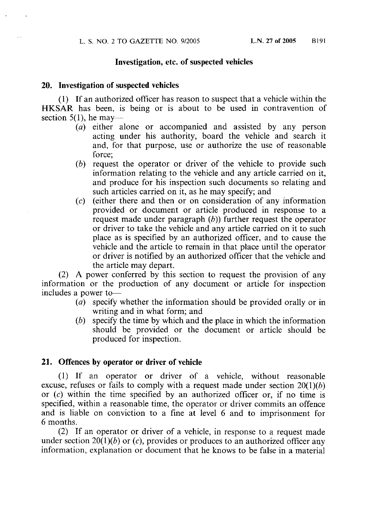#### Investigation, etc. of suspected vehicles

#### 20. Investigation of suspected vehicles

(1) If an authorized officer has reason to suspect that a vehicle within the HKSAR has been, is being or is about to be used in contravention of section  $5(1)$ , he may—

- (a) either alone or accompanied and assisted by any person acting under his authority, board the vehicle and search it and, for that purpose, use or authorize the use of reasonable force;
- (b) request the operator or driver of the vehicle to provide such information relating to the vehicle and any article carried on it, and produce for his inspection such documents so relating and such articles carried on it, as he may specify; and
- $(c)$  (either there and then or on consideration of any information provided or document or article produced in response to a request made under paragraph  $(b)$ ) further request the operator or driver to take the vehicle and any article carried on it to such place as is specified by an authorized officer, and to cause the vehicle and the article to remain in that place until the operator or driver is notified by an authorized officer that the vehicle and the article may depart.

(2) A power conferred by this section to request the provision of any information or the production of any document or article for inspection includes a power to-

- (a) specify whether the information should be provided orally or in writing and in what form; and
- specify the time by which and the place in which the information (b) should be provided or the document or article should be produced for inspection.

#### 21. Offences by operator or driver of vehicle

(1) If an operator or driver of a vehicle, without reasonable excuse, refuses or fails to comply with a request made under section  $20(1)(b)$ or  $(c)$  within the time specified by an authorized officer or, if no time is specified, within a reasonable time, the operator or driver commits an offence and is liable on conviction to a fine at level 6 and to imprisonment for 6 months.

(2) If an operator or driver of a vehicle, in response to a request made under section 20(1)(b) or (c), provides or produces to an authorized officer any information, explanation or document that he knows to be false in a material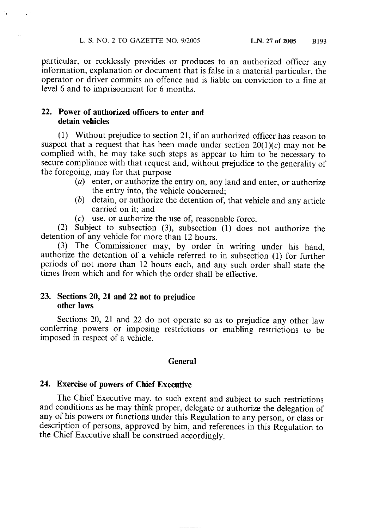particular, or recklessly provides or produces to an authorized officer any information, explanation or document that is false in a material particular, the operator or driver commits an offence and is liable on conviction to a fine at level 6 and to imprisonment for 6 months.

### 22. Power of authorized officers to enter and detain vehicles

(1) Without prejudice to section 21, if an authorized officer has reason to suspect that a request that has been made under section  $20(1)(c)$  may not be complied with, he may take such steps as appear to him to be necessary to secure compliance with that request and, without prejudice to the generality of the foregoing, may for that purpose—

- (a) enter, or authorize the entry on, any land and enter, or authorize the entry into, the vehicle concerned;
- $(b)$  detain, or authorize the detention of, that vehicle and any article carried on it; and
- $(c)$  use, or authorize the use of, reasonable force.

(2) Subject to subsection (3), subsection (1) does not authorize the detention of any vehicle for more than 12 hours.

(3) The Commissioner may, by order in writing under his hand, authorize the detention of a vehicle referred to in subsection (1) for further periods of not more than 12 hours each, and any such order shall state the times from which and for which the order shall be effective.

#### 23. Sections 20, 21 and 22 not to prejudice other laws

Sections 20, 21 and 22 do not operate so as to prejudice any other law conferring powers or imposing restrictions or enabling restrictions to be imposed in respect of a vehicle.

#### **General**

#### 24. Exercise of powers of Chief Executive

The Chief Executive may, to such extent and subject to such restrictions and conditions as he may think proper, delegate or authorize the delegation of any of his powers or functions under this Regulation to any person, or class or description of persons, approved by him, and references in this Regulation to the Chief Executive shall be construed accordingly.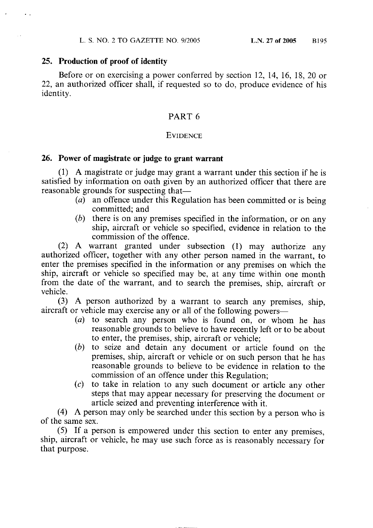#### 25. Production of proof of identity

Before or on exercising a power conferred by section 12, 14, 16, 18, 20 or 22, an authorized officer shall, if requested so to do, produce evidence of his identity.

## PART<sub>6</sub>

#### **EVIDENCE**

#### 26. Power of magistrate or judge to grant warrant

(1) A magistrate or judge may grant a warrant under this section if he is satisfied by information on oath given by an authorized officer that there are reasonable grounds for suspecting that—

- $(a)$  an offence under this Regulation has been committed or is being committed; and
- $(b)$  there is on any premises specified in the information, or on any ship, aircraft or vehicle so specified, evidence in relation to the commission of the offence.

(2) A warrant granted under subsection (1) may authorize any authorized officer, together with any other person named in the warrant, to enter the premises specified in the information or any premises on which the ship, aircraft or vehicle so specified may be, at any time within one month from the date of the warrant, and to search the premises, ship, aircraft or vehicle.

(3) A person authorized by a warrant to search any premises, ship, aircraft or vehicle may exercise any or all of the following powers—

- $(a)$  to search any person who is found on, or whom he has reasonable grounds to believe to have recently left or to be about to enter, the premises, ship, aircraft or vehicle;
- (b) to seize and detain any document or article found on the premises, ship, aircraft or vehicle or on such person that he has reasonable grounds to believe to be evidence in relation to the commission of an offence under this Regulation;
- $(c)$  to take in relation to any such document or article any other steps that may appear necessary for preserving the document or article seized and preventing interference with it.

(4) A person may only be searched under this section by a person who is of the same sex.

(5) If a person is empowered under this section to enter any premises, ship, aircraft or vehicle, he may use such force as is reasonably necessary for that purpose.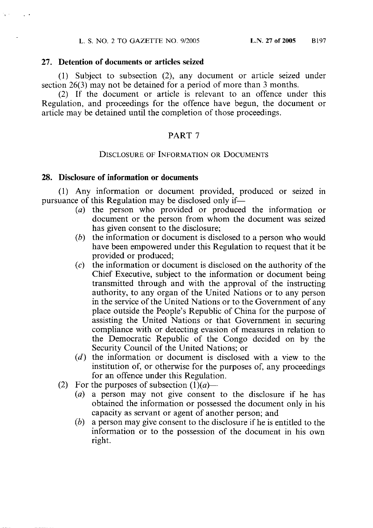#### 27. Detention of documents or articles seized

(1) Subject to subsection (2), any document or article seized under section 26(3) may not be detained for a period of more than 3 months.

(2) If the document or article is relevant to an offence under this Regulation, and proceedings for the offence have begun, the document or article may be detained until the completion of those proceedings.

### PART<sub>7</sub>

#### **DISCLOSURE OF INFORMATION OR DOCUMENTS**

#### 28. Disclosure of information or documents

(1) Any information or document provided, produced or seized in pursuance of this Regulation may be disclosed only if—

- (a) the person who provided or produced the information or document or the person from whom the document was seized has given consent to the disclosure;
- $(b)$  the information or document is disclosed to a person who would have been empowered under this Regulation to request that it be provided or produced;
- the information or document is disclosed on the authority of the  $(c)$ Chief Executive, subject to the information or document being transmitted through and with the approval of the instructing authority, to any organ of the United Nations or to any person in the service of the United Nations or to the Government of any place outside the People's Republic of China for the purpose of assisting the United Nations or that Government in securing compliance with or detecting evasion of measures in relation to the Democratic Republic of the Congo decided on by the Security Council of the United Nations; or
- $(d)$  the information or document is disclosed with a view to the institution of, or otherwise for the purposes of, any proceedings for an offence under this Regulation.
- (2) For the purposes of subsection  $(1)(a)$ 
	- (a) a person may not give consent to the disclosure if he has obtained the information or possessed the document only in his capacity as servant or agent of another person; and
	- $(b)$  a person may give consent to the disclosure if he is entitled to the information or to the possession of the document in his own right.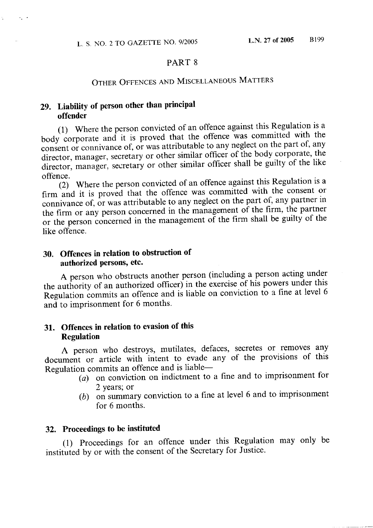#### PART<sub>8</sub>

# OTHER OFFENCES AND MISCELLANEOUS MATTERS

# 29. Liability of person other than principal offender

 $\mathcal{L}_1$  .

Å.

(1) Where the person convicted of an offence against this Regulation is a body corporate and it is proved that the offence was committed with the consent or connivance of, or was attributable to any neglect on the part of, any director, manager, secretary or other similar officer of the body corporate, the director, manager, secretary or other similar officer shall be guilty of the like offence.

(2) Where the person convicted of an offence against this Regulation is a firm and it is proved that the offence was committed with the consent or connivance of, or was attributable to any neglect on the part of, any partner in the firm or any person concerned in the management of the firm, the partner or the person concerned in the management of the firm shall be guilty of the like offence.

## 30. Offences in relation to obstruction of authorized persons, etc.

A person who obstructs another person (including a person acting under the authority of an authorized officer) in the exercise of his powers under this Regulation commits an offence and is liable on conviction to a fine at level 6 and to imprisonment for 6 months.

## 31. Offences in relation to evasion of this **Regulation**

A person who destroys, mutilates, defaces, secretes or removes any document or article with intent to evade any of the provisions of this Regulation commits an offence and is liable-

- (a) on conviction on indictment to a fine and to imprisonment for 2 years; or
- (b) on summary conviction to a fine at level 6 and to imprisonment for 6 months.

## 32. Proceedings to be instituted

(1) Proceedings for an offence under this Regulation may only be instituted by or with the consent of the Secretary for Justice.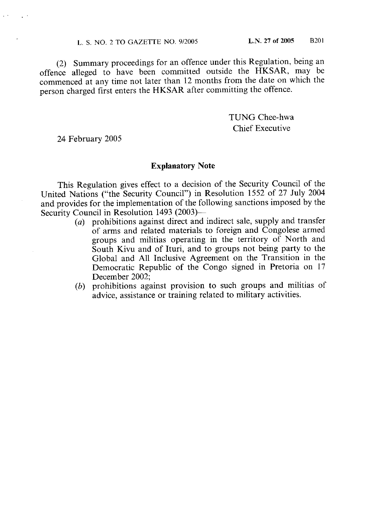#### L. S. NO. 2 TO GAZETTE NO. 9/2005

(2) Summary proceedings for an offence under this Regulation, being an offence alleged to have been committed outside the HKSAR, may be commenced at any time not later than 12 months from the date on which the person charged first enters the HKSAR after committing the offence.

> TUNG Chee-hwa **Chief Executive**

24 February 2005

#### **Explanatory Note**

This Regulation gives effect to a decision of the Security Council of the United Nations ("the Security Council") in Resolution 1552 of 27 July 2004 and provides for the implementation of the following sanctions imposed by the Security Council in Resolution 1493 (2003)-

- $(a)$  prohibitions against direct and indirect sale, supply and transfer of arms and related materials to foreign and Congolese armed groups and militias operating in the territory of North and South Kivu and of Ituri, and to groups not being party to the Global and All Inclusive Agreement on the Transition in the Democratic Republic of the Congo signed in Pretoria on 17 December 2002:
- (b) prohibitions against provision to such groups and militias of advice, assistance or training related to military activities.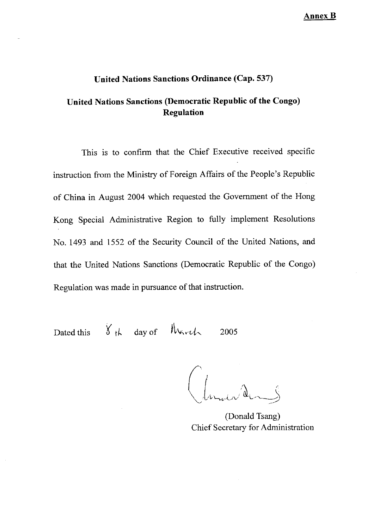Annex B

## United Nations Sanctions Ordinance (Cap. 537)

# United Nations Sanctions (Democratic Republic of the Congo) Regulation

This is to confirm that the Chief Executive received specific instruction from the Ministry of Foreign Affairs of the People's Republic of China in August 2004 which requested the Government of the Hong Kong Special Administrative Region to fully implement Resolutions No. 1493 and 1552 of the Security Council of the United Nations, and that the United Nations Sanctions (Democratic Republic of the Congo) Regulation was made in pursuance of that instruction.

Dated this  $8th$  day of March

2005

(Donald Tsang) Chief Secretary for Administration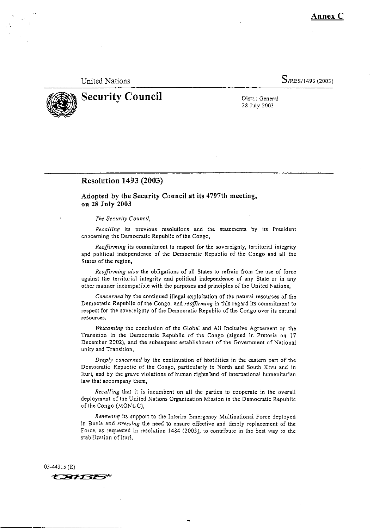Annex C

#### **United Nations**

 $S$ /RES/1493 (2003)



**Security Council** 

Distr.: General 28 July 2003

#### **Resolution 1493 (2003)**

Adopted by the Security Council at its 4797th meeting, on 28 July 2003

#### The Security Council.

Recalling its previous resolutions and the statements by its President concerning the Democratic Republic of the Congo,

Reaffirming its commitment to respect for the sovereignty, territorial integrity and political independence of the Democratic Republic of the Congo and all the States of the region,

Reaffirming also the obligations of all States to refrain from the use of force against the territorial integrity and political independence of any State or in any other manner incompatible with the purposes and principles of the United Nations,

Concerned by the continued illegal exploitation of the natural resources of the Democratic Republic of the Congo, and reaffirming in this regard its commitment to respect for the sovereignty of the Democratic Republic of the Congo over its natural resources,

Welcoming the conclusion of the Global and All Inclusive Agreement on the Transition in the Democratic Republic of the Congo (signed in Pretoria on 17 December 2002), and the subsequent establishment of the Government of National unity and Transition,

Deeply concerned by the continuation of hostilities in the eastern part of the Democratic Republic of the Congo, particularly in North and South Kivu and in Ituri, and by the grave violations of human rights'and of international humanitarian law that accompany them,

Recalling that it is incumbent on all the parties to cooperate in the overall deployment of the United Nations Organization Mission in the Democratic Republic of the Congo (MONUC),

Renewing its support to the Interim Emergency Multinational Force deployed in Bunia and stressing the need to ensure effective and timely replacement of the Force, as requested in resolution 1484 (2003), to contribute in the best way to the stabilization of Ituri.

 $03-44315$  (E) **CBHBE**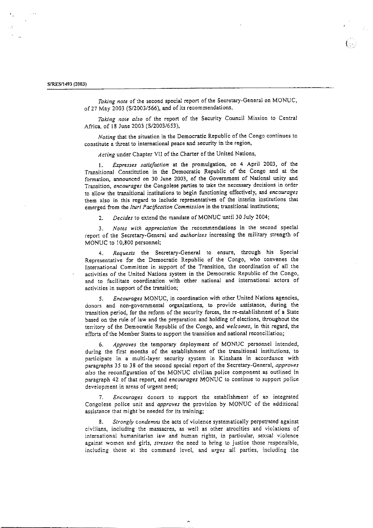Taking note of the second special report of the Secretary-General on MONUC, of 27 May 2003 (S/2003/566), and of its recommendations,

Taking note also of the report of the Security Council Mission to Central Africa, of 18 June 2003 (S/2003/653),

Noting that the situation in the Democratic Republic of the Congo continues to constitute a threat to international peace and security in the region,

Acting under Chapter VII of the Charter of the United Nations,

Expresses satisfaction at the promulgation, on 4 April 2003, of the  $\mathbf{1}$ . Transitional Constitution in the Democratic Republic of the Congo and at the formation, announced on 30 June 2003, of the Government of National unity and Transition, encourages the Congolese parties to take the necessary decisions in order to allow the transitional institutions to begin functioning effectively, and encourages them also in this regard to include representatives of the interim institutions that emerged from the Ituri Pacification Commission in the transitional institutions;

Decides to extend the mandate of MONUC until 30 July 2004;  $2<sup>1</sup>$ 

Notes with appreciation the recommendations in the second special  $\overline{3}$ . report of the Secretary-General and *authorizes* increasing the military strength of MONUC to 10,800 personnel;

Requests the Secretary-General to ensure, through his Special  $\mathbf{4}$ . Representative for the Democratic Republic of the Congo, who convenes the International Committee in support of the Transition, the coordination of all the activities of the United Nations system in the Democratic Republic of the Congo, and to facilitate coordination with other national and international actors of activities in support of the transition;

Encourages MONUC, in coordination with other United Nations agencies, 5. donors and non-governmental organizations, to provide assistance, during the transition period, for the reform of the security forces, the re-establishment of a State based on the rule of law and the preparation and holding of elections, throughout the territory of the Democratic Republic of the Congo, and welcomes, in this regard, the efforts of the Member States to support the transition and national reconciliation;

Approves the temporary deployment of MONUC personnel intended, 6. during the first months of the establishment of the transitional institutions, to participate in a multi-layer security system in Kinshasa in accordance with paragraphs 35 to 38 of the second special report of the Secretary-General, approves also the reconfiguration of the MONUC civilian police component as outlined in paragraph 42 of that report, and encourages MONUC to continue to support police development in areas of urgent need;

Encourages donors to support the establishment of an integrated  $\mathcal{I}$ Congolese police unit and approves the provision by MONUC of the additional assistance that might be needed for its training;

Strongly condemns the acts of violence systematically perpetrated against civilians, including the massacres, as well as other atrocities and violations of international humanitarian law and human rights, in particular, sexual violence against women and girls, stresses the need to bring to justice those responsible, including those at the command level, and urges all parties, including the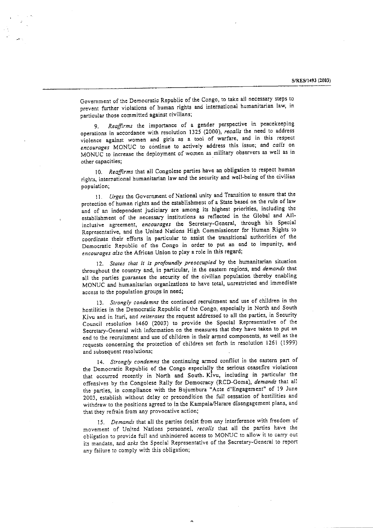Government of the Democratic Republic of the Congo, to take all necessary steps to prevent further violations of human rights and international humanitarian law, in particular those committed against civilians;

Reaffirms the importance of a gender perspective in peacekeeping operations in accordance with resolution 1325 (2000), recalls the need to address violence against women and girls as a tool of warfare, and in this respect encourages MONUC to continue to actively address this issue; and calls on MONUC to increase the deployment of women as military observers as well as in other capacities;

10. Reaffirms that all Congolese parties have an obligation to respect human rights, international humanitarian law and the security and well-being of the civilian population;

11. Urges the Government of National unity and Transition to ensure that the protection of human rights and the establishment of a State based on the rule of law and of an independent judiciary are among its highest priorities, including the establishment of the necessary institutions as reflected in the Global and Allinclusive agreement, encourages the Secretary-General, through his Special Representative, and the United Nations High Commissioner for Human Rights to coordinate their efforts in particular to assist the transitional authorities of the Democratic Republic of the Congo in order to put an end to impunity, and encourages also the African Union to play a role in this regard;

12. States that it is profoundly preoccupied by the humanitarian situation throughout the country and, in particular, in the eastern regions, and demands that all the parties guarantee the security of the civilian population thereby enabling MONUC and humanitarian organizations to have total, unrestricted and immediate access to the population groups in need;

13. Strongly condemns the continued recruitment and use of children in the hostilities in the Democratic Republic of the Congo, especially in North and South Kivu and in Ituri, and reiterates the request addressed to all the parties, in Security Council resolution 1460 (2003) to provide the Special Representative of the Secretary-General with information on the measures that they have taken to put an end to the recruitment and use of children in their armed components, as well as the requests concerning the protection of children set forth in resolution 1261 (1999) and subsequent resolutions;

14. Strongly condemns the continuing armed conflict in the eastern part of the Democratic Republic of the Congo especially the serious ceasefire violations that occurred recently in North and South. Kivu, including in particular the offensives by the Congolese Rally for Democracy (RCD-Goma), demands that all the parties, in compliance with the Bujumbura "Acte d'Engagement" of 19 June 2003, establish without delay or precondition the full cessation of hostilities and withdraw to the positions agreed to in the Kampala/Harare disengagement plans, and that they refrain from any provocative action;

15. Demands that all the parties desist from any interference with freedom of movement of United Nations personnel, recalls that all the parties have the obligation to provide full and unhindered access to MONUC to allow it to carry out its mandate, and asks the Special Representative of the Secretary-General to report any failure to comply with this obligation;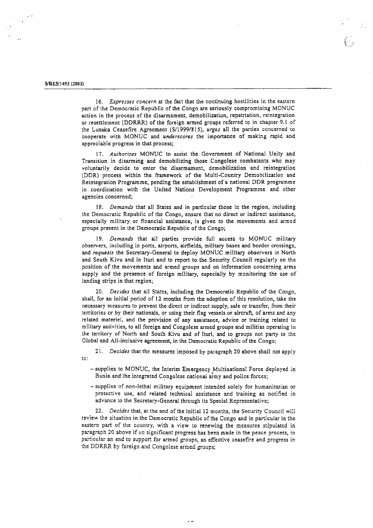#### S/RES/1493 (2003)

16. Expresses concern at the fact that the continuing hostilities in the eastern part of the Democratic Republic of the Congo are seriously compromising MONUC action in the process of the disarmament, demobilization, repatriation, reintegration or resettlement (DDRRR) of the foreign armed groups referred to in chapter 9.1 of the Lusaka Ceasefire Agreement (S/1999/815), urges all the parties concerned to cooperate with MONUC and underscores the importance of making rapid and appreciable progress in that process;

17. Authorizes MONUC to assist the Government of National Unity and Transition in disarming and demobilizing those Congolese combatants who may voluntarily decide to enter the disarmament, demobilization and reintegration (DDR) process within the framework of the Multi-Country Demobilization and Reintegration Programme, pending the establishment of a national DDR programme in coordination with the United Nations Development Programme and other agencies concerned:

18. Demands that all States and in particular those in the region, including the Democratic Republic of the Congo, ensure that no direct or indirect assistance, especially military or financial assistance, is given to the movements and armed groups present in the Democratic Republic of the Congo;

19. Demands that all parties provide full access to MONUC military observers, including in ports, airports, airfields, military bases and border crossings, and requests the Secretary-General to deploy MONUC military observers in North and South Kivu and in Ituri and to report to the Security Council regularly on the position of the movements and armed groups and on information concerning arms supply and the presence of foreign military, especially by monitoring the use of landing strips in that region;

20. Decides that all States, including the Democratic Republic of the Congo, shall, for an initial period of 12 months from the adoption of this resolution, take the necessary measures to prevent the direct or indirect supply, sale or transfer, from their territories or by their nationals, or using their flag vessels or aircraft, of arms and any related materiel, and the provision of any assistance, advice or training related to military activities, to all foreign and Congolese armed groups and militias operating in the territory of North and South Kivu and of Ituri, and to groups not party to the Global and All-inclusive agreement, in the Democratic Republic of the Congo;

21. Decides that the measures imposed by paragraph 20 above shall not apply to:

- supplies to MONUC, the Interim Emergency Multinational Force deployed in Bunia and the integrated Congolese national army and police forces;
- supplies of non-lethal military equipment intended solely for humanitarian or protective use, and related technical assistance and training as notified in advance to the Secretary-General through its Special Representative;

22. Decides that, at the end of the initial 12 months, the Security Council will review the situation in the Democratic Republic of the Congo and in particular in the eastern part of the country, with a view to renewing the measures stipulated in paragraph 20 above if no significant progress has been made in the peace process, in particular an end to support for armed groups, an effective ceasefire and progress in the DDRRR by foreign and Congolese armed groups;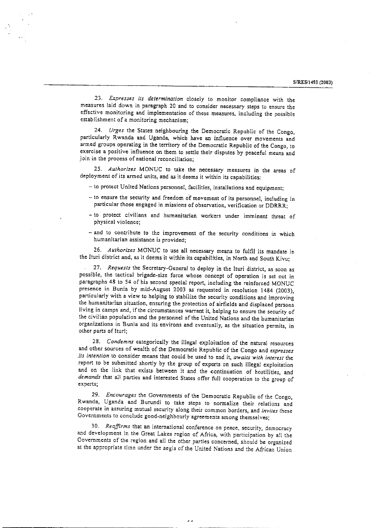23. Expresses its determination closely to monitor compliance with the measures laid down in paragraph 20 and to consider necessary steps to ensure the effective monitoring and implementation of these measures, including the possible establishment of a monitoring mechanism:

24. Urges the States neighbouring the Democratic Republic of the Congo, particularly Rwanda and Uganda, which have an influence over movements and armed groups operating in the territory of the Democratic Republic of the Congo, to exercise a positive influence on them to settle their disputes by peaceful means and join in the process of national reconciliation;

25. Authorizes MONUC to take the necessary measures in the areas of deployment of its armed units, and as it deems it within its capabilities:

- to protect United Nations personnel, facilities, installations and equipment;

- to ensure the security and freedom of movement of its personnel, including in particular those engaged in missions of observation, verification or DDRRR;
- to protect civilians and humanitarian workers under imminent threat of physical violence;
- and to contribute to the improvement of the security conditions in which humanitarian assistance is provided;

26. Authorizes MONUC to use all necessary means to fulfil its mandate in the Ituri district and, as it deems it within its capabilities, in North and South Kivu;

27. Requests the Secretary-General to deploy in the Ituri district, as soon as possible, the tactical brigade-size force whose concept of operation is set out in paragraphs 48 to 54 of his second special report, including the reinforced MONUC presence in Bunia by mid-August 2003 as requested in resolution 1484 (2003), particularly with a view to helping to stabilize the security conditions and improving the humanitarian situation, ensuring the protection of airfields and displaced persons living in camps and, if the circumstances warrant it, helping to ensure the security of the civilian population and the personnel of the United Nations and the humanitarian organizations in Bunia and its environs and eventually, as the situation permits, in other parts of Ituri;

28. Condemns categorically the illegal exploitation of the natural resources and other sources of wealth of the Democratic Republic of the Congo and expresses its intention to consider means that could be used to end it, awaits with interest the report to be submitted shortly by the group of experts on such illegal exploitation and on the link that exists between it and the continuation of hostilities, and demands that all parties and interested States offer full cooperation to the group of experts:

29. Encourages the Governments of the Democratic Republic of the Congo, Rwanda, Uganda and Burundi to take steps to normalize their relations and cooperate in assuring mutual security along their common borders, and invites these Governments to conclude good-neighbourly agreements among themselves;

30. Reaffirms that an international conference on peace, security, democracy and development in the Great Lakes region of Africa, with participation by all the Governments of the region and all the other parties concerned, should be organized at the appropriate time under the aegis of the United Nations and the African Union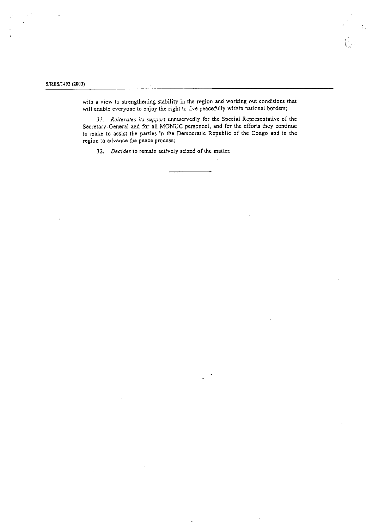#### S/RES/1493 (2003)

with a view to strengthening stability in the region and working out conditions that will enable everyone to enjoy the right to live peacefully within national borders;

 $\hat{V}$ 

31. Reiterates its support unreservedly for the Special Representative of the Secretary-General and for all MONUC personnel, and for the efforts they continue to make to assist the parties in the Democratic Republic of the Congo and in the region to advance the peace process;

32. Decides to remain actively seized of the matter.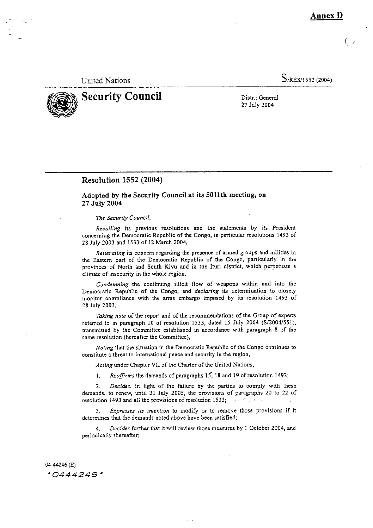Annex D

**United Nations** 

S/RES/1552 (2004)

# **Security Council**

Distr.: General 27 July 2004

#### **Resolution 1552 (2004)**

#### Adopted by the Security Council at its 5011th meeting, on 27 July 2004

#### The Security Council,

Recalling its previous resolutions and the statements by its President concerning the Democratic Republic of the Congo, in particular resolutions 1493 of 28 July 2003 and 1533 of 12 March 2004,

Reiterating its concern regarding the presence of armed groups and militias in the Eastern part of the Democratic Republic of the Congo, particularly in the provinces of North and South Kivu and in the Ituri district, which perpetuate a climate of insecurity in the whole region,

Condemning the continuing illicit flow of weapons within and into the Democratic Republic of the Congo, and declaring its determination to closely monitor compliance with the arms embargo imposed by its resolution 1493 of 28 July 2003,

Taking note of the report and of the recommendations of the Group of experts referred to in paragraph 10 of resolution 1533, dated 15 July 2004 (S/2004/551), transmitted by the Committee established in accordance with paragraph 8 of the same resolution (hereafter the Committee),

Noting that the situation in the Democratic Republic of the Congo continues to constitute a threat to international peace and security in the region,

Acting under Chapter VII of the Charter of the United Nations,

Reaffirms the demands of paragraphs 15, 18 and 19 of resolution 1493;  $\mathbf{1}$ .

Decides, in light of the failure by the parties to comply with these  $2.$ demands, to renew, until 31 July 2005, the provisions of paragraphs 20 to 22 of resolution 1493 and all the provisions of resolution 1533;  $\frac{1}{2}$  and  $\frac{1}{2}$ 

Expresses its intention to modify or to remove those provisions if it  $3.$ determines that the demands noted above have been satisfied;

Decides further that it will review those measures by 1 October 2004, and  $4<sub>1</sub>$ periodically thereafter;

04-44246 (E)  $*0444246*$